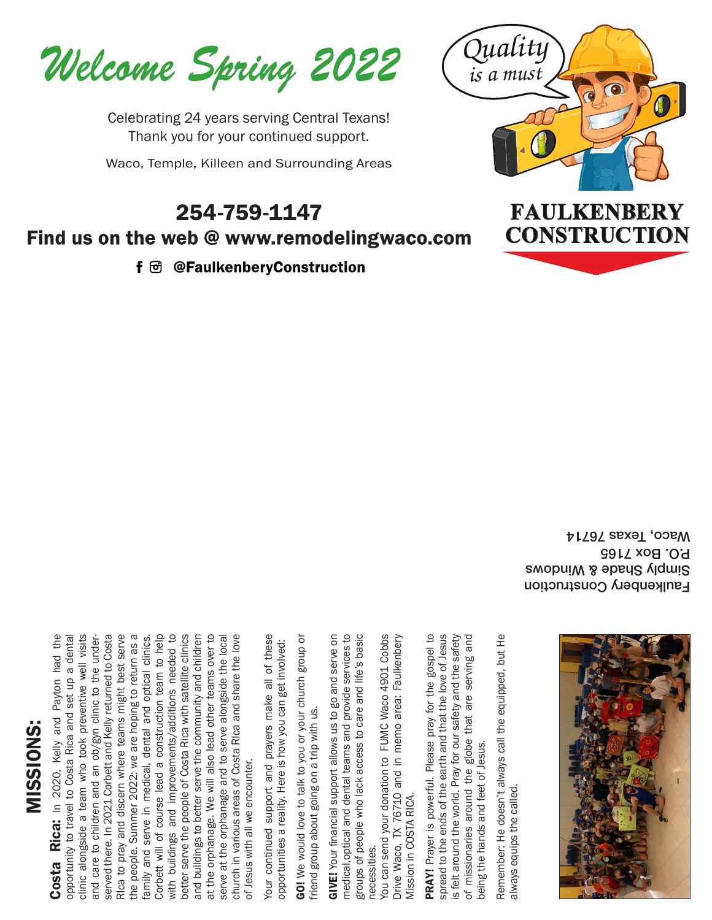*Welcome Spring 2022*

Celebrating 24 years serving Central Texans! Thank you for your continued support.

Waco, Temple, Killeen and Surrounding Areas

#### 254-759-1147 Find us on the web @ www.remodelingwaco.com

f 団 @FaulkenberyConstruction



Faulkenbery Construction Swopui W & Holduig P.O. Box 7165 Waco, Texas 76714

### **Costa Rica:** In 2020, Kelly and Payton had the opportunity to travel to Costa Rica and set up a dential endomortunity to travel to Costa Rica and set up a dential and care to children and an obvey ninic to the university MISSIONS: MISSIONS

Mission in COSTA RICA.

PRAY! Prayer is powerful. Please pray for the gospel to spread to the ends of the earth and that the love of Jesus is felt around the world. Pray for our safety and the safety of missionaries around the globe that are serving and s felt around the world. Pray for our safety and the safety PRAY! Prayer is powerful. Please pray for the gospel to spread to the ends of the earth and that the love of Jesus of missionaries around the globe that are serving and being the hands and feet of Jesus. being the hands and feet of Jesus.

Remember: He doesn't always call the equipped, but He Remember: He doesn't always call the equipped, but He always equips the called.always equips the called